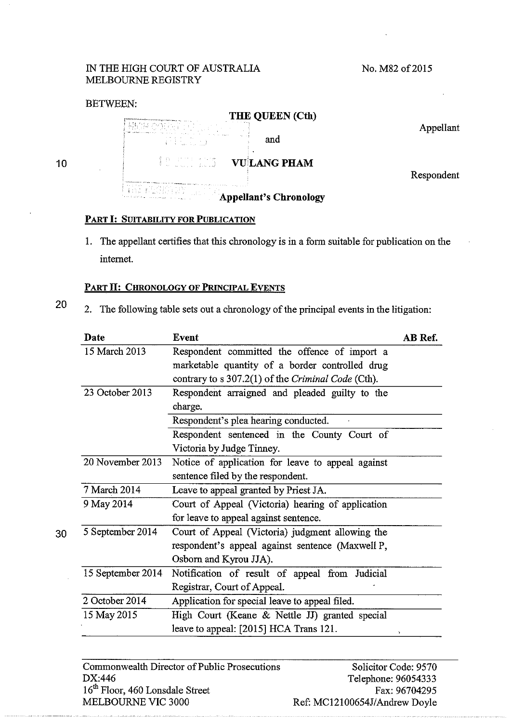## IN THE HIGH COURT OF AUSTRALIA MELBOURNE REGISTRY

No. M82 of 2015

## BETWEEN:



10

## PART I: SUITABILITY FOR PUBLICATION

1. The appellant certifies that this chronology is in a form suitable for publication on the internet.

## PART II: CHRONOLOGY OF PRINCIPAL EVENTS

20 2. The following table sets out a chronology of the principal events in the litigation:

| Date              | <b>Event</b>                                       | AB Ref. |
|-------------------|----------------------------------------------------|---------|
| 15 March 2013     | Respondent committed the offence of import a       |         |
|                   | marketable quantity of a border controlled drug    |         |
|                   | contrary to s 307.2(1) of the Criminal Code (Cth). |         |
| 23 October 2013   | Respondent arraigned and pleaded guilty to the     |         |
|                   | charge.                                            |         |
|                   | Respondent's plea hearing conducted.               |         |
|                   | Respondent sentenced in the County Court of        |         |
|                   | Victoria by Judge Tinney.                          |         |
| 20 November 2013  | Notice of application for leave to appeal against  |         |
|                   | sentence filed by the respondent.                  |         |
| 7 March 2014      | Leave to appeal granted by Priest JA.              |         |
| 9 May 2014        | Court of Appeal (Victoria) hearing of application  |         |
|                   | for leave to appeal against sentence.              |         |
| 5 September 2014  | Court of Appeal (Victoria) judgment allowing the   |         |
|                   | respondent's appeal against sentence (Maxwell P,   |         |
|                   | Osborn and Kyrou JJA).                             |         |
| 15 September 2014 | Notification of result of appeal from Judicial     |         |
|                   | Registrar, Court of Appeal.                        |         |
| 2 October 2014    | Application for special leave to appeal filed.     |         |
| 15 May 2015       | High Court (Keane & Nettle JJ) granted special     |         |
|                   | leave to appeal: [2015] HCA Trans 121.             |         |

Commonwealth Director of Public Prosecutions DX:446 16<sup>th</sup> Floor, 460 Lonsdale Street MELBOURNE VIC 3000

Solicitor Code: 9570 Telephone: 96054333 Fax:96704295 Ref: MC12100654J/Andrew Doyle